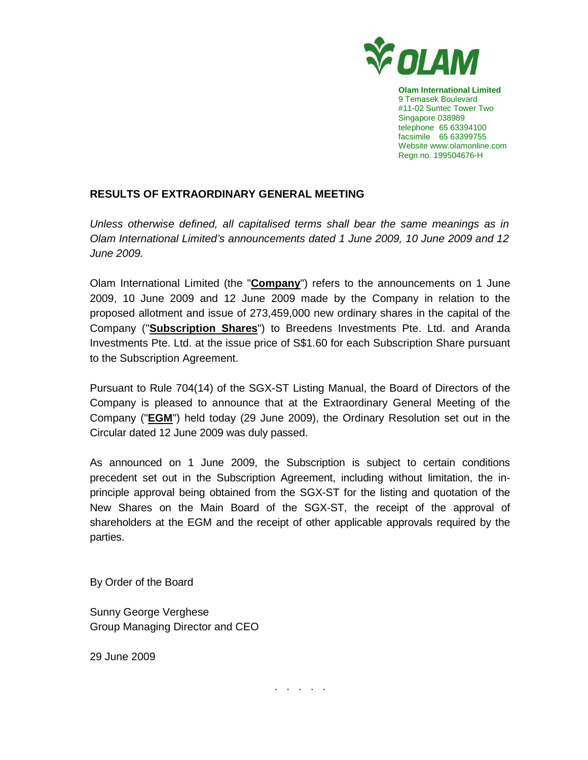

**Olam International Limited**  9 Temasek Boulevard #11-02 Suntec Tower Two Singapore 038989 telephone 65 63394100 facsimile 65 63399755 Website www.olamonline.com Regn no. 199504676-H

## **RESULTS OF EXTRAORDINARY GENERAL MEETING**

Unless otherwise defined, all capitalised terms shall bear the same meanings as in Olam International Limited's announcements dated 1 June 2009, 10 June 2009 and 12 June 2009.

Olam International Limited (the "**Company**") refers to the announcements on 1 June 2009, 10 June 2009 and 12 June 2009 made by the Company in relation to the proposed allotment and issue of 273,459,000 new ordinary shares in the capital of the Company ("**Subscription Shares**") to Breedens Investments Pte. Ltd. and Aranda Investments Pte. Ltd. at the issue price of S\$1.60 for each Subscription Share pursuant to the Subscription Agreement.

Pursuant to Rule 704(14) of the SGX-ST Listing Manual, the Board of Directors of the Company is pleased to announce that at the Extraordinary General Meeting of the Company ("**EGM**") held today (29 June 2009), the Ordinary Resolution set out in the Circular dated 12 June 2009 was duly passed.

As announced on 1 June 2009, the Subscription is subject to certain conditions precedent set out in the Subscription Agreement, including without limitation, the inprinciple approval being obtained from the SGX-ST for the listing and quotation of the New Shares on the Main Board of the SGX-ST, the receipt of the approval of shareholders at the EGM and the receipt of other applicable approvals required by the parties.

By Order of the Board

Sunny George Verghese Group Managing Director and CEO

29 June 2009

. . . . .